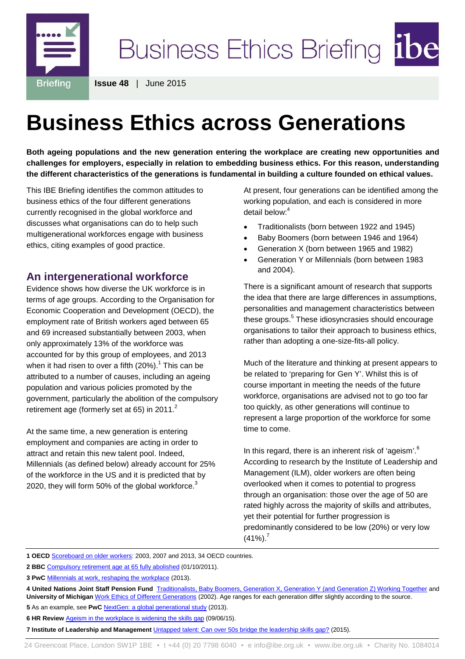

**Issue 48** | June 2015

# **Business Ethics across Generations**

**Both ageing populations and the new generation entering the workplace are creating new opportunities and challenges for employers, especially in relation to embedding business ethics. For this reason, understanding the different characteristics of the generations is fundamental in building a culture founded on ethical values.**

This IBE Briefing identifies the common attitudes to business ethics of the four different generations currently recognised in the global workforce and discusses what organisations can do to help such multigenerational workforces engage with business ethics, citing examples of good practice.

## **An intergenerational workforce**

Evidence shows how diverse the UK workforce is in terms of age groups. According to the Organisation for Economic Cooperation and Development (OECD), the employment rate of British workers aged between 65 and 69 increased substantially between 2003, when only approximately 13% of the workforce was accounted for by this group of employees, and 2013 when it had risen to over a fifth  $(20\%)$ .<sup>1</sup> This can be attributed to a number of causes, including an ageing population and various policies promoted by the government, particularly the abolition of the compulsory retirement age (formerly set at 65) in 2011. $^2$ 

At the same time, a new generation is entering employment and companies are acting in order to attract and retain this new talent pool. Indeed, Millennials (as defined below) already account for 25% of the workforce in the US and it is predicted that by 2020, they will form 50% of the global workforce. $3$ 

At present, four generations can be identified among the working population, and each is considered in more detail below:<sup>4</sup>

- Traditionalists (born between 1922 and 1945)
- Baby Boomers (born between 1946 and 1964)
- Generation X (born between 1965 and 1982)
- Generation Y or Millennials (born between 1983 and 2004).

There is a significant amount of research that supports the idea that there are large differences in assumptions, personalities and management characteristics between these groups.<sup>5</sup> These idiosyncrasies should encourage organisations to tailor their approach to business ethics, rather than adopting a one-size-fits-all policy.

Much of the literature and thinking at present appears to be related to 'preparing for Gen Y'. Whilst this is of course important in meeting the needs of the future workforce, organisations are advised not to go too far too quickly, as other generations will continue to represent a large proportion of the workforce for some time to come.

In this regard, there is an inherent risk of 'ageism'.<sup>6</sup> According to research by the Institute of Leadership and Management (ILM), older workers are often being overlooked when it comes to potential to progress through an organisation: those over the age of 50 are rated highly across the majority of skills and attributes, yet their potential for further progression is predominantly considered to be low (20%) or very low  $(41\%)$ .<sup>7</sup>

**1 OECD** [Scoreboard on older workers:](http://www.oecd.org/els/emp/older-workers-scoreboard.xlsx) 2003, 2007 and 2013, 34 OECD countries.

- **6 HR Review** [Ageism in the workplace is widening the skills gap](http://www.hrreview.co.uk/hr-news/diversity-news/ageism-workplace-widening-skills-gap/57243?utm_source=cc-HRreview_Daily+News+A&utm_medium=Email&utm_content=Untitled23&utm_campaign=HRreview+Daily+News+-+A+list+-+WED&_ccCt=hIUBuSHL736lzVc9P9l9P3rYdWPPLl4Ebn) (09/06/15).
- **7 Institute of Leadership and Management** [Untapped talent: Can over 50s bridge the leadership skills](https://www.i-l-m.com/~/media/ILM%20Website/Documents/research-reports/Over%2050s/Untapped%20TalentCan%20Over%2050s%20bridge%20the%20leadership%20skills%20gap_Final%20pdf.ashx) gap? (2015).

**<sup>2</sup> BBC** [Compulsory retirement age at 65 fully abolished](http://www.bbc.co.uk/news/business-15127835) (01/10/2011).

**<sup>3</sup> PwC** [Millennials at work, reshaping the workplace](https://www.pwc.com/en_M1/m1/services/consulting/documents/millennials-at-work.pdf) (2013).

**<sup>4</sup> United Nations Joint Staff Pension Fund** [Traditionalists, Baby Boomers, Generation X, Generation Y \(and Generation Z\) Working Together](http://www.un.org/staffdevelopment/pdf/Designing%20Recruitment,%20Selection%20&%20Talent%20Management%20Model%20tailored%20to%20meet%20UNJSPF%27s%20Business%20Development%20Needs.pdf) and University of Michigan [Work Ethics of Different Generations](https://www.med.umich.edu/diversity/pdffiles/file29.pdf)</u> (2002). Age ranges for each generation differ slightly according to the source.

**<sup>5</sup>** As an example, see PwC [NextGen: a global generational study](https://www.pwc.com/en_GX/gx/hr-management-services/pdf/pwc-nextgen-study-2013.pdf) (2013).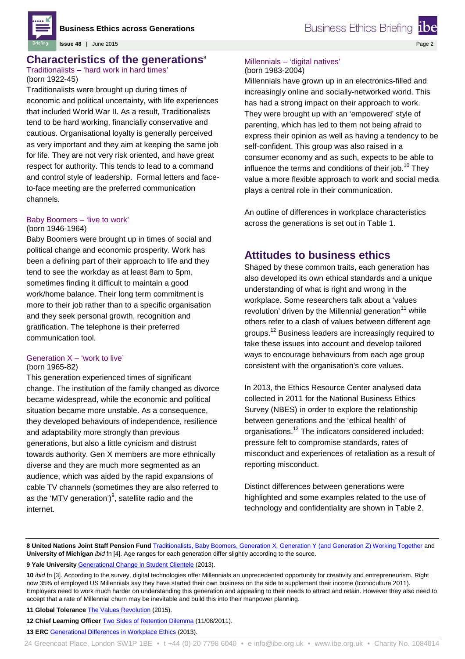

**Issue 48** | June 2015

## **Characteristics of the generations**<sup>8</sup>

#### Traditionalists – 'hard work in hard times' (born 1922-45)

Traditionalists were brought up during times of economic and political uncertainty, with life experiences that included World War II. As a result, Traditionalists tend to be hard working, financially conservative and cautious. Organisational loyalty is generally perceived as very important and they aim at keeping the same job for life. They are not very risk oriented, and have great respect for authority. This tends to lead to a command and control style of leadership. Formal letters and faceto-face meeting are the preferred communication channels.

#### Baby Boomers – 'live to work' (born 1946-1964)

Baby Boomers were brought up in times of social and political change and economic prosperity. Work has been a defining part of their approach to life and they tend to see the workday as at least 8am to 5pm, sometimes finding it difficult to maintain a good work/home balance. Their long term commitment is more to their job rather than to a specific organisation and they seek personal growth, recognition and gratification. The telephone is their preferred communication tool.

#### Generation X – 'work to live' (born 1965-82)

This generation experienced times of significant change. The institution of the family changed as divorce became widespread, while the economic and political situation became more unstable. As a consequence, they developed behaviours of independence, resilience and adaptability more strongly than previous generations, but also a little cynicism and distrust towards authority. Gen X members are more ethnically diverse and they are much more segmented as an audience, which was aided by the rapid expansions of cable TV channels (sometimes they are also referred to as the 'MTV generation')<sup>9</sup>, satellite radio and the internet.

## Millennials – 'digital natives'

(born 1983-2004)

Millennials have grown up in an electronics-filled and increasingly online and socially-networked world. This has had a strong impact on their approach to work. They were brought up with an 'empowered' style of parenting, which has led to them not being afraid to express their opinion as well as having a tendency to be self-confident. This group was also raised in a consumer economy and as such, expects to be able to influence the terms and conditions of their job.<sup>10</sup> They value a more flexible approach to work and social media plays a central role in their communication.

An outline of differences in workplace characteristics across the generations is set out in Table 1.

## **Attitudes to business ethics**

Shaped by these common traits, each generation has also developed its own ethical standards and a unique understanding of what is right and wrong in the workplace. Some researchers talk about a 'values revolution' driven by the Millennial generation $11$  while others refer to a clash of values between different age groups.<sup>12</sup> Business leaders are increasingly required to take these issues into account and develop tailored ways to encourage behaviours from each age group consistent with the organisation's core values.

In 2013, the Ethics Resource Center analysed data collected in 2011 for the National Business Ethics Survey (NBES) in order to explore the relationship between generations and the 'ethical health' of organisations. <sup>13</sup> The indicators considered included: pressure felt to compromise standards, rates of misconduct and experiences of retaliation as a result of reporting misconduct.

Distinct differences between generations were highlighted and some examples related to the use of technology and confidentiality are shown in Table 2.

8 United Nations Joint Staff Pension Fund [Traditionalists, Baby Boomers, Generation X, Generation Y \(and Generation Z\) Working Together](http://www.un.org/staffdevelopment/pdf/Designing%20Recruitment,%20Selection%20&%20Talent%20Management%20Model%20tailored%20to%20meet%20UNJSPF%27s%20Business%20Development%20Needs.pdf) and **University of Michigan** *ibid* fn [4]. Age ranges for each generation differ slightly according to the source.

**9 Yale University** [Generational Change in Student Clientele](http://www.yale.edu/macmillan/pier/classroom-resources/3.%20GENERATIONAL%20CHANGES.pdf) (2013).

**10** *ibid* fn [3]. According to the survey, digital technologies offer Millennials an unprecedented opportunity for creativity and entrepreneurism. Right now 35% of employed US Millennials say they have started their own business on the side to supplement their income (Iconoculture 2011). Employers need to work much harder on understanding this generation and appealing to their needs to attract and retain. However they also need to accept that a rate of Millennial churn may be inevitable and build this into their manpower planning.

**11 Global Tolerance** [The Values Revolution](http://www.globaltolerance.com/thought-leadership/the-values-revolution/) (2015).

**12 Chief Learning Officer** [Two Sides of Retention Dilemma](http://www.clomedia.com/articles/two-sides-of-the-retention-dilemma) (11/08/2011).

**13 ERC** [Generational Differences in Workplace Ethics](http://www.ethics.org/files/u5/2011GenDiffFinal.pdf) (2013).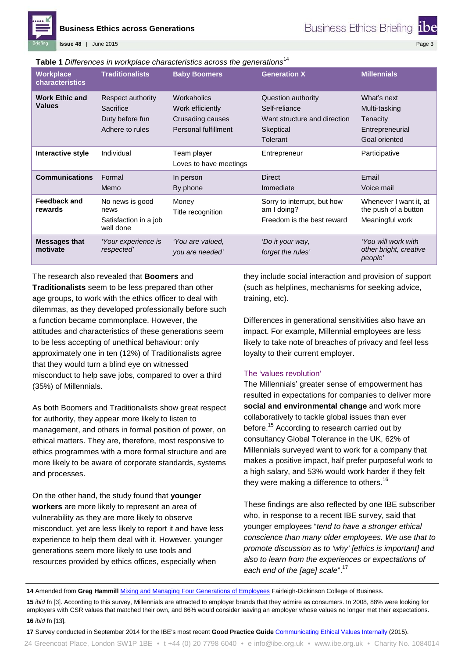

**Issue 48** | June 2015

Page 3

#### **Table 1** *Differences in workplace characteristics across the generations*<sup>14</sup>

| <b>Workplace</b><br><b>characteristics</b> | <b>Traditionalists</b>                                               | <b>Baby Boomers</b>                                                         | <b>Generation X</b>                                                                          | <b>Millennials</b>                                                           |
|--------------------------------------------|----------------------------------------------------------------------|-----------------------------------------------------------------------------|----------------------------------------------------------------------------------------------|------------------------------------------------------------------------------|
| <b>Work Ethic and</b><br><b>Values</b>     | Respect authority<br>Sacrifice<br>Duty before fun<br>Adhere to rules | Workaholics<br>Work efficiently<br>Crusading causes<br>Personal fulfillment | Question authority<br>Self-reliance<br>Want structure and direction<br>Skeptical<br>Tolerant | What's next<br>Multi-tasking<br>Tenacity<br>Entrepreneurial<br>Goal oriented |
| Interactive style                          | Individual                                                           | Team player<br>Loves to have meetings                                       | Entrepreneur                                                                                 | Participative                                                                |
| <b>Communications</b>                      | Formal<br>Memo                                                       | In person<br>By phone                                                       | <b>Direct</b><br>Immediate                                                                   | Email<br>Voice mail                                                          |
| <b>Feedback and</b><br>rewards             | No news is good<br>news<br>Satisfaction in a job<br>well done        | Money<br>Title recognition                                                  | Sorry to interrupt, but how<br>am I doing?<br>Freedom is the best reward                     | Whenever I want it, at<br>the push of a button<br>Meaningful work            |
| <b>Messages that</b><br>motivate           | 'Your experience is<br>respected'                                    | 'You are valued.<br>you are needed'                                         | 'Do it your way,<br>forget the rules'                                                        | 'You will work with<br>other bright, creative<br>people'                     |

The research also revealed that **Boomers** and **Traditionalists** seem to be less prepared than other age groups, to work with the ethics officer to deal with dilemmas, as they developed professionally before such a function became commonplace. However, the attitudes and characteristics of these generations seem to be less accepting of unethical behaviour: only approximately one in ten (12%) of Traditionalists agree that they would turn a blind eye on witnessed misconduct to help save jobs, compared to over a third (35%) of Millennials.

As both Boomers and Traditionalists show great respect for authority, they appear more likely to listen to management, and others in formal position of power, on ethical matters. They are, therefore, most responsive to ethics programmes with a more formal structure and are more likely to be aware of corporate standards, systems and processes.

On the other hand, the study found that **younger workers** are more likely to represent an area of vulnerability as they are more likely to observe misconduct, yet are less likely to report it and have less experience to help them deal with it. However, younger generations seem more likely to use tools and resources provided by ethics offices, especially when

they include social interaction and provision of support (such as helplines, mechanisms for seeking advice, training, etc).

Differences in generational sensitivities also have an impact. For example, Millennial employees are less likely to take note of breaches of privacy and feel less loyalty to their current employer.

#### The 'values revolution'

The Millennials' greater sense of empowerment has resulted in expectations for companies to deliver more **social and environmental change** and work more collaboratively to tackle global issues than ever before. <sup>15</sup> According to research carried out by consultancy Global Tolerance in the UK, 62% of Millennials surveyed want to work for a company that makes a positive impact, half prefer purposeful work to a high salary, and 53% would work harder if they felt they were making a difference to others.<sup>16</sup>

These findings are also reflected by one IBE subscriber who, in response to a recent IBE survey, said that younger employees "*tend to have a stronger ethical conscience than many older employees. We use that to promote discussion as to 'why' [ethics is important] and also to learn from the experiences or expectations of each end of the [age] scale*".<sup>17</sup>

**16** *ibid* fn [13].

**<sup>14</sup>** Amended from **Greg Hammill** [Mixing and Managing Four Generations of Employees](http://www.fdu.edu/newspubs/magazine/05ws/generations.htm) Fairleigh-Dickinson College of Business.

**<sup>15</sup>** *ibid* fn [3]. According to this survey, Millennials are attracted to employer brands that they admire as consumers. In 2008, 88% were looking for employers with CSR values that matched their own, and 86% would consider leaving an employer whose values no longer met their expectations.

**<sup>17</sup>** Survey conducted in September 2014 for the IBE's most recent **Good Practice Guide** [Communicating Ethical Values Internally](http://www.ibe.org.uk/list-of-publications/67/47#pub2193) (2015).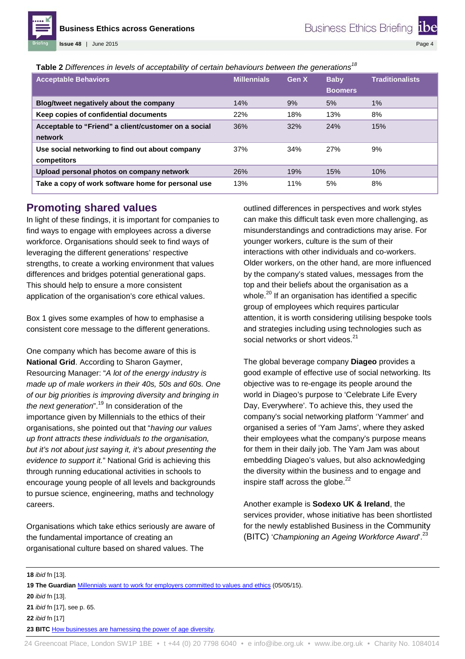Page 4

**Table 2** *Differences in levels of acceptability of certain behaviours between the generations<sup>18</sup>*

| <b>Acceptable Behaviors</b>                                     | <b>Millennials</b> | Gen X | <b>Baby</b><br><b>Boomers</b> | <b>Traditionalists</b> |
|-----------------------------------------------------------------|--------------------|-------|-------------------------------|------------------------|
| Blog/tweet negatively about the company                         | 14%                | 9%    | 5%                            | 1%                     |
| Keep copies of confidential documents                           | 22%                | 18%   | 13%                           | 8%                     |
| Acceptable to "Friend" a client/customer on a social<br>network | 36%                | 32%   | 24%                           | 15%                    |
| Use social networking to find out about company<br>competitors  | 37%                | 34%   | 27%                           | 9%                     |
| Upload personal photos on company network                       | <b>26%</b>         | 19%   | 15%                           | 10%                    |
| Take a copy of work software home for personal use              | 13%                | 11%   | 5%                            | 8%                     |

### **Promoting shared values**

**Issue 48** | June 2015

In light of these findings, it is important for companies to find ways to engage with employees across a diverse workforce. Organisations should seek to find ways of leveraging the different generations' respective strengths, to create a working environment that values differences and bridges potential generational gaps. This should help to ensure a more consistent application of the organisation's core ethical values.

Box 1 gives some examples of how to emphasise a consistent core message to the different generations.

One company which has become aware of this is **National Grid**. According to Sharon Gaymer, Resourcing Manager: "*A lot of the energy industry is made up of male workers in their 40s, 50s and 60s. One of our big priorities is improving diversity and bringing in the next generation*".<sup>19</sup> In consideration of the importance given by Millennials to the ethics of their organisations, she pointed out that "*having our values up front attracts these individuals to the organisation, but it's not about just saying it, it's about presenting the evidence to support it.*" National Grid is achieving this through running educational activities in schools to encourage young people of all levels and backgrounds to pursue science, engineering, maths and technology careers.

Organisations which take ethics seriously are aware of the fundamental importance of creating an organisational culture based on shared values. The

outlined differences in perspectives and work styles can make this difficult task even more challenging, as misunderstandings and contradictions may arise. For younger workers, culture is the sum of their interactions with other individuals and co-workers. Older workers, on the other hand, are more influenced by the company's stated values, messages from the top and their beliefs about the organisation as a whole. $^{20}$  If an organisation has identified a specific group of employees which requires particular attention, it is worth considering utilising bespoke tools and strategies including using technologies such as social networks or short videos.<sup>21</sup>

The global beverage company **Diageo** provides a good example of effective use of social networking. Its objective was to re-engage its people around the world in Diageo's purpose to 'Celebrate Life Every Day, Everywhere'. To achieve this, they used the company's social networking platform 'Yammer' and organised a series of 'Yam Jams', where they asked their employees what the company's purpose means for them in their daily job. The Yam Jam was about embedding Diageo's values, but also acknowledging the diversity within the business and to engage and inspire staff across the globe. $^{22}$ 

Another example is **Sodexo UK & Ireland**, the services provider, whose initiative has been shortlisted for the newly established Business in the Community (BITC) '*Championing an Ageing Workforce Award*'.23

**22** *ibid* fn [17]

**23 BITC** [How businesses are harnessing the power of age diversity.](http://www.bitc.org.uk/blog/post/how-businesses-are-harnessing-power-age-diversity#sthash.hptGSq8r.dpuf)

**<sup>18</sup>** *ibid* fn [13].

**<sup>19</sup> The Guardian** [Millennials want to work for employers committed to values and ethics](http://www.theguardian.com/sustainable-business/2015/may/05/millennials-employment-employers-values-ethics-jobs) (05/05/15).

**<sup>20</sup>** *ibid* fn [13].

**<sup>21</sup>** *ibid* fn [17], see p. 65.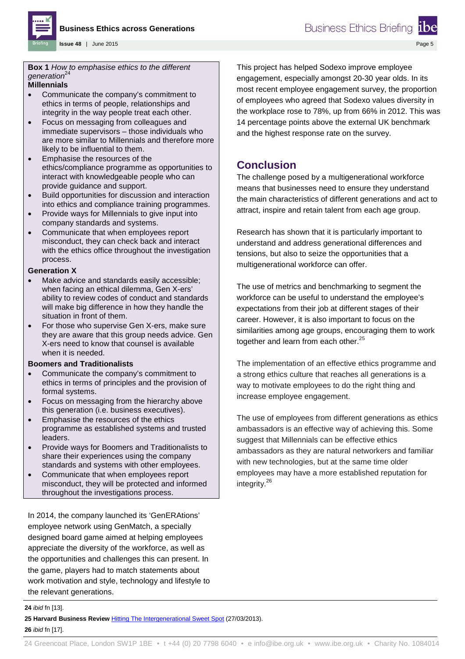

Page 5

**Box 1** *How to emphasise ethics to the different*  generation<sup>24</sup>

**Issue 48** | June 2015

#### **Millennials**

- Communicate the company's commitment to ethics in terms of people, relationships and integrity in the way people treat each other.
- Focus on messaging from colleagues and immediate supervisors – those individuals who are more similar to Millennials and therefore more likely to be influential to them.
- Emphasise the resources of the ethics/compliance programme as opportunities to interact with knowledgeable people who can provide guidance and support.
- Build opportunities for discussion and interaction into ethics and compliance training programmes.
- Provide ways for Millennials to give input into company standards and systems.
- Communicate that when employees report misconduct, they can check back and interact with the ethics office throughout the investigation process.

#### **Generation X**

- Make advice and standards easily accessible; when facing an ethical dilemma, Gen X-ers' ability to review codes of conduct and standards will make big difference in how they handle the situation in front of them.
- For those who supervise Gen X-ers, make sure they are aware that this group needs advice. Gen X-ers need to know that counsel is available when it is needed.

#### **Boomers and Traditionalists**

- Communicate the company's commitment to ethics in terms of principles and the provision of formal systems.
- Focus on messaging from the hierarchy above this generation (i.e. business executives).
- Emphasise the resources of the ethics programme as established systems and trusted leaders.
- Provide ways for Boomers and Traditionalists to share their experiences using the company standards and systems with other employees.
- Communicate that when employees report misconduct, they will be protected and informed throughout the investigations process.

In 2014, the company launched its 'GenERAtions' employee network using GenMatch, a specially designed board game aimed at helping employees appreciate the diversity of the workforce, as well as the opportunities and challenges this can present. In the game, players had to match statements about work motivation and style, technology and lifestyle to the relevant generations.

This project has helped Sodexo improve employee engagement, especially amongst 20-30 year olds. In its most recent employee engagement survey, the proportion of employees who agreed that Sodexo values diversity in the workplace rose to 78%, up from 66% in 2012. This was 14 percentage points above the external UK benchmark and the highest response rate on the survey.

## **Conclusion**

The challenge posed by a multigenerational workforce means that businesses need to ensure they understand the main characteristics of different generations and act to attract, inspire and retain talent from each age group.

Research has shown that it is particularly important to understand and address generational differences and tensions, but also to seize the opportunities that a multigenerational workforce can offer.

The use of metrics and benchmarking to segment the workforce can be useful to understand the employee's expectations from their job at different stages of their career. However, it is also important to focus on the similarities among age groups, encouraging them to work together and learn from each other. $25$ 

The implementation of an effective ethics programme and a strong ethics culture that reaches all generations is a way to motivate employees to do the right thing and increase employee engagement.

The use of employees from different generations as ethics ambassadors is an effective way of achieving this. Some suggest that Millennials can be effective ethics ambassadors as they are natural networkers and familiar with new technologies, but at the same time older employees may have a more established reputation for integrity.<sup>26</sup>

**25 Harvard Business Review** [Hitting The Intergenerational Sweet Spot](https://hbr.org/2013/05/hitting-the-intergenerational) (27/03/2013).

**26** *ibid* fn [17].

**<sup>24</sup>** *ibid* fn [13].